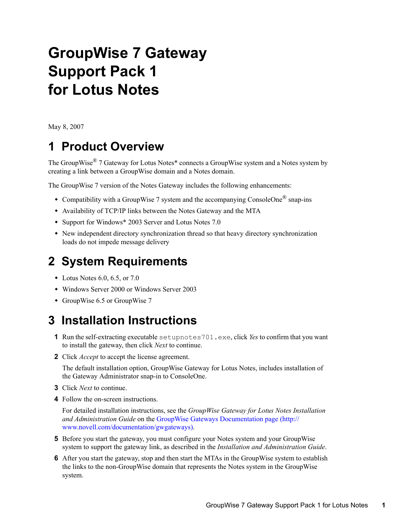# **GroupWise 7 Gateway Support Pack 1 for Lotus Notes**

May 8, 2007

## **1 Product Overview**

The GroupWise<sup>®</sup> 7 Gateway for Lotus Notes<sup>\*</sup> connects a GroupWise system and a Notes system by creating a link between a GroupWise domain and a Notes domain.

The GroupWise 7 version of the Notes Gateway includes the following enhancements:

- Compatibility with a GroupWise 7 system and the accompanying ConsoleOne<sup>®</sup> snap-ins
- Availability of TCP/IP links between the Notes Gateway and the MTA
- Support for Windows\* 2003 Server and Lotus Notes 7.0
- New independent directory synchronization thread so that heavy directory synchronization loads do not impede message delivery

## **2 System Requirements**

- $\bullet$  Lotus Notes 6.0, 6.5, or 7.0
- Windows Server 2000 or Windows Server 2003
- GroupWise 6.5 or GroupWise 7

## **3 Installation Instructions**

- **1** Run the self-extracting executable setupnotes701.exe, click *Yes* to confirm that you want to install the gateway, then click *Next* to continue.
- **2** Click *Accept* to accept the license agreement.

The default installation option, GroupWise Gateway for Lotus Notes, includes installation of the Gateway Administrator snap-in to ConsoleOne.

- **3** Click *Next* to continue.
- **4** Follow the on-screen instructions.

For detailed installation instructions, see the *GroupWise Gateway for Lotus Notes Installation and Administration Guide* on the [GroupWise Gateways Documentation page](http://www.novell.com/documentation/gwgateways) (http:// www.novell.com/documentation/gwgateways).

- **5** Before you start the gateway, you must configure your Notes system and your GroupWise system to support the gateway link, as described in the *Installation and Administration Guide*.
- **6** After you start the gateway, stop and then start the MTAs in the GroupWise system to establish the links to the non-GroupWise domain that represents the Notes system in the GroupWise system.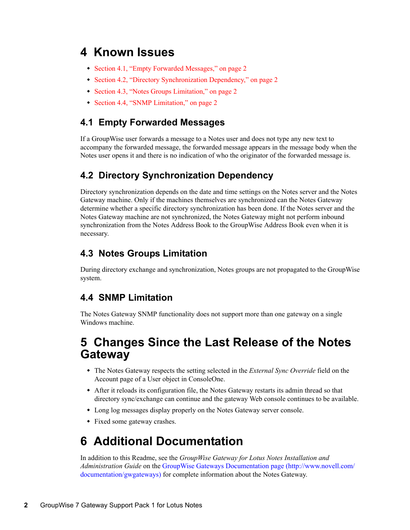## **4 Known Issues**

- [Section 4.1, "Empty Forwarded Messages," on page 2](#page-1-0)
- [Section 4.2, "Directory Synchronization Dependency," on page 2](#page-1-1)
- [Section 4.3, "Notes Groups Limitation," on page 2](#page-1-2)
- [Section 4.4, "SNMP Limitation," on page 2](#page-1-3)

#### <span id="page-1-0"></span>**4.1 Empty Forwarded Messages**

If a GroupWise user forwards a message to a Notes user and does not type any new text to accompany the forwarded message, the forwarded message appears in the message body when the Notes user opens it and there is no indication of who the originator of the forwarded message is.

#### <span id="page-1-1"></span>**4.2 Directory Synchronization Dependency**

Directory synchronization depends on the date and time settings on the Notes server and the Notes Gateway machine. Only if the machines themselves are synchronized can the Notes Gateway determine whether a specific directory synchronization has been done. If the Notes server and the Notes Gateway machine are not synchronized, the Notes Gateway might not perform inbound synchronization from the Notes Address Book to the GroupWise Address Book even when it is necessary.

#### <span id="page-1-2"></span>**4.3 Notes Groups Limitation**

During directory exchange and synchronization, Notes groups are not propagated to the GroupWise system.

#### <span id="page-1-3"></span>**4.4 SNMP Limitation**

The Notes Gateway SNMP functionality does not support more than one gateway on a single Windows machine.

### **5 Changes Since the Last Release of the Notes Gateway**

- The Notes Gateway respects the setting selected in the *External Sync Override* field on the Account page of a User object in ConsoleOne.
- After it reloads its configuration file, the Notes Gateway restarts its admin thread so that directory sync/exchange can continue and the gateway Web console continues to be available.
- Long log messages display properly on the Notes Gateway server console.
- Fixed some gateway crashes.

## **6 Additional Documentation**

In addition to this Readme, see the *GroupWise Gateway for Lotus Notes Installation and Administration Guide* on the [GroupWise Gateways Documentation page](http://www.novell.com/documentation/gwgateways) (http://www.novell.com/ documentation/gwgateways) for complete information about the Notes Gateway.